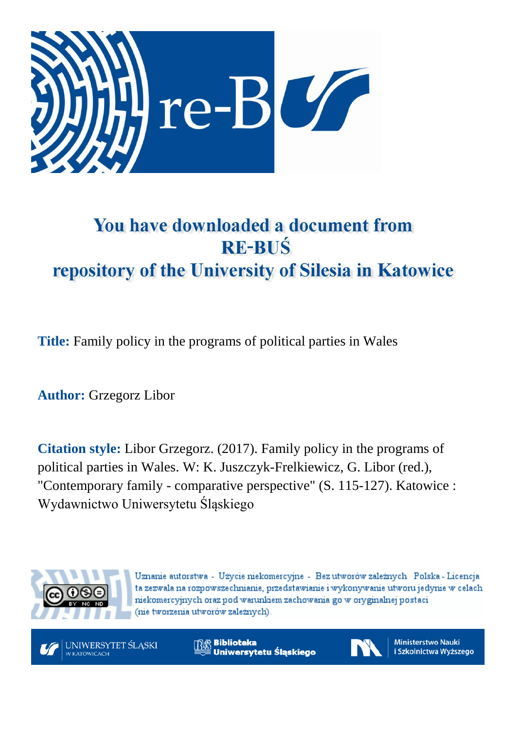

# You have downloaded a document from **RE-BUŚ** repository of the University of Silesia in Katowice

**Title:** Family policy in the programs of political parties in Wales

**Author:** Grzegorz Libor

**Citation style:** Libor Grzegorz. (2017). Family policy in the programs of political parties in Wales. W: K. Juszczyk-Frelkiewicz, G. Libor (red.), "Contemporary family - comparative perspective" (S. 115-127). Katowice : Wydawnictwo Uniwersytetu Śląskiego



Uznanie autorstwa - Użycie niekomercyjne - Bez utworów zależnych Polska - Licencja ta zezwala na rozpowszechnianie, przedstawianie i wykonywanie utworu jedynie w celach niekomercyjnych oraz pod warunkiem zachowania go w oryginalnej postaci (nie tworzenia utworów zależnych).



**Biblioteka** Uniwersytetu Śląskiego



**Ministerstwo Nauki** i Szkolnictwa Wyższego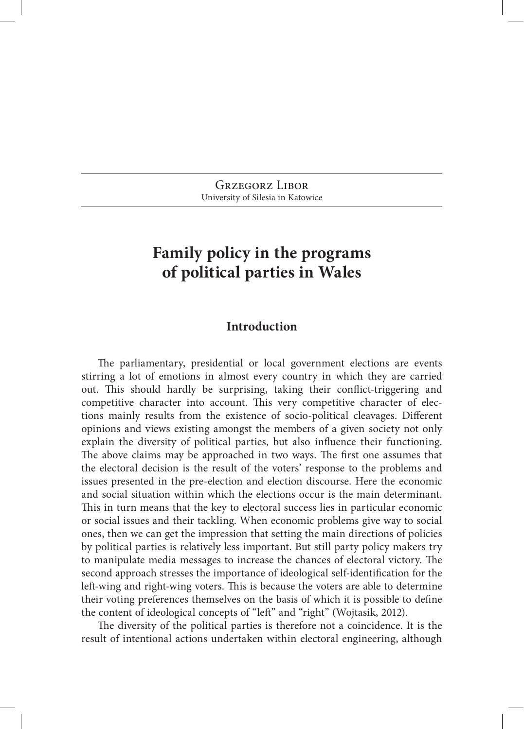Grzegorz Libor University of Silesia in Katowice

# **Family policy in the programs of political parties in Wales**

#### **Introduction**

The parliamentary, presidential or local government elections are events stirring a lot of emotions in almost every country in which they are carried out. This should hardly be surprising, taking their conflict-triggering and competitive character into account. This very competitive character of elections mainly results from the existence of socio‑political cleavages. Different opinions and views existing amongst the members of a given society not only explain the diversity of political parties, but also influence their functioning. The above claims may be approached in two ways. The first one assumes that the electoral decision is the result of the voters' response to the problems and issues presented in the pre-election and election discourse. Here the economic and social situation within which the elections occur is the main determinant. This in turn means that the key to electoral success lies in particular economic or social issues and their tackling. When economic problems give way to social ones, then we can get the impression that setting the main directions of policies by political parties is relatively less important. But still party policy makers try to manipulate media messages to increase the chances of electoral victory. The second approach stresses the importance of ideological self-identification for the left‑wing and right‑wing voters. This is because the voters are able to determine their voting preferences themselves on the basis of which it is possible to define the content of ideological concepts of "left" and "right" (Wojtasik, 2012).

The diversity of the political parties is therefore not a coincidence. It is the result of intentional actions undertaken within electoral engineering, although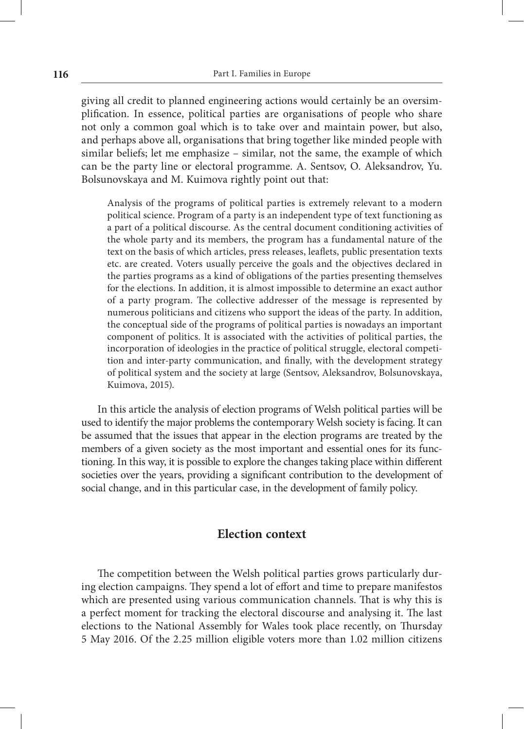giving all credit to planned engineering actions would certainly be an oversimplification. In essence, political parties are organisations of people who share not only a common goal which is to take over and maintain power, but also, and perhaps above all, organisations that bring together like minded people with similar beliefs; let me emphasize – similar, not the same, the example of which can be the party line or electoral programme. A. Sentsov, O. Aleksandrov, Yu. Bolsunovskaya and M. Kuimova rightly point out that:

Analysis of the programs of political parties is extremely relevant to a modern political science. Program of a party is an independent type of text functioning as a part of a political discourse. As the central document conditioning activities of the whole party and its members, the program has a fundamental nature of the text on the basis of which articles, press releases, leaflets, public presentation texts etc. are created. Voters usually perceive the goals and the objectives declared in the parties programs as a kind of obligations of the parties presenting themselves for the elections. In addition, it is almost impossible to determine an exact author of a party program. The collective addresser of the message is represented by numerous politicians and citizens who support the ideas of the party. In addition, the conceptual side of the programs of political parties is nowadays an important component of politics. It is associated with the activities of political parties, the incorporation of ideologies in the practice of political struggle, electoral competition and inter-party communication, and finally, with the development strategy of political system and the society at large (Sentsov, Aleksandrov, Bolsunovskaya, Kuimova, 2015).

In this article the analysis of election programs of Welsh political parties will be used to identify the major problems the contemporary Welsh society is facing. It can be assumed that the issues that appear in the election programs are treated by the members of a given society as the most important and essential ones for its functioning. In this way, it is possible to explore the changes taking place within different societies over the years, providing a significant contribution to the development of social change, and in this particular case, in the development of family policy.

#### **Election context**

The competition between the Welsh political parties grows particularly during election campaigns. They spend a lot of effort and time to prepare manifestos which are presented using various communication channels. That is why this is a perfect moment for tracking the electoral discourse and analysing it. The last elections to the National Assembly for Wales took place recently, on Thursday 5 May 2016. Of the 2.25 million eligible voters more than 1.02 million citizens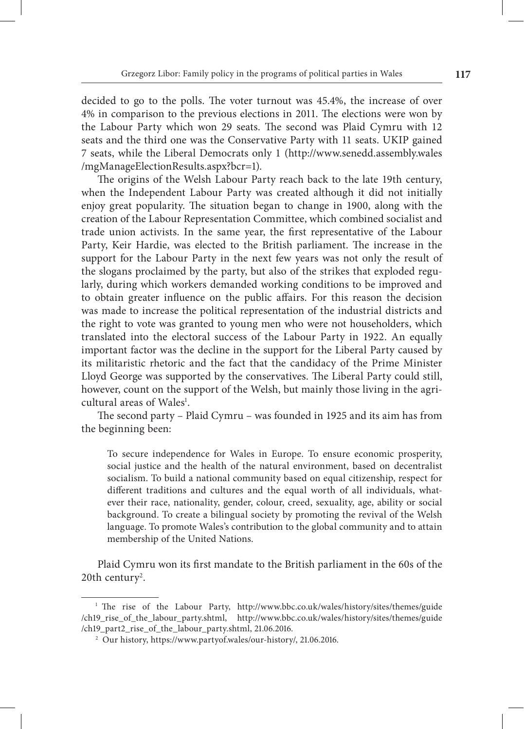decided to go to the polls. The voter turnout was 45.4%, the increase of over 4% in comparison to the previous elections in 2011. The elections were won by the Labour Party which won 29 seats. The second was Plaid Cymru with 12 seats and the third one was the Conservative Party with 11 seats. UKIP gained 7 seats, while the Liberal Democrats only 1 (http://www.senedd.assembly.wales /mgManageElectionResults.aspx?bcr=1).

The origins of the Welsh Labour Party reach back to the late 19th century, when the Independent Labour Party was created although it did not initially enjoy great popularity. The situation began to change in 1900, along with the creation of the Labour Representation Committee, which combined socialist and trade union activists. In the same year, the first representative of the Labour Party, Keir Hardie, was elected to the British parliament. The increase in the support for the Labour Party in the next few years was not only the result of the slogans proclaimed by the party, but also of the strikes that exploded regularly, during which workers demanded working conditions to be improved and to obtain greater influence on the public affairs. For this reason the decision was made to increase the political representation of the industrial districts and the right to vote was granted to young men who were not householders, which translated into the electoral success of the Labour Party in 1922. An equally important factor was the decline in the support for the Liberal Party caused by its militaristic rhetoric and the fact that the candidacy of the Prime Minister Lloyd George was supported by the conservatives. The Liberal Party could still, however, count on the support of the Welsh, but mainly those living in the agricultural areas of Wales<sup>1</sup>.

The second party – Plaid Cymru – was founded in 1925 and its aim has from the beginning been:

To secure independence for Wales in Europe. To ensure economic prosperity, social justice and the health of the natural environment, based on decentralist socialism. To build a national community based on equal citizenship, respect for different traditions and cultures and the equal worth of all individuals, whatever their race, nationality, gender, colour, creed, sexuality, age, ability or social background. To create a bilingual society by promoting the revival of the Welsh language. To promote Wales's contribution to the global community and to attain membership of the United Nations.

Plaid Cymru won its first mandate to the British parliament in the 60s of the 20th century<sup>2</sup>.

<sup>&</sup>lt;sup>1</sup> The rise of the Labour Party, http://www.bbc.co.uk/wales/history/sites/themes/guide /ch19\_rise\_of\_the\_labour\_party.shtml, http://www.bbc.co.uk/wales/history/sites/themes/guide /ch19\_part2\_rise\_of\_the\_labour\_party.shtml, 21.06.2016.

<sup>&</sup>lt;sup>2</sup> Our history, https://www.partyof.wales/our-history/, 21.06.2016.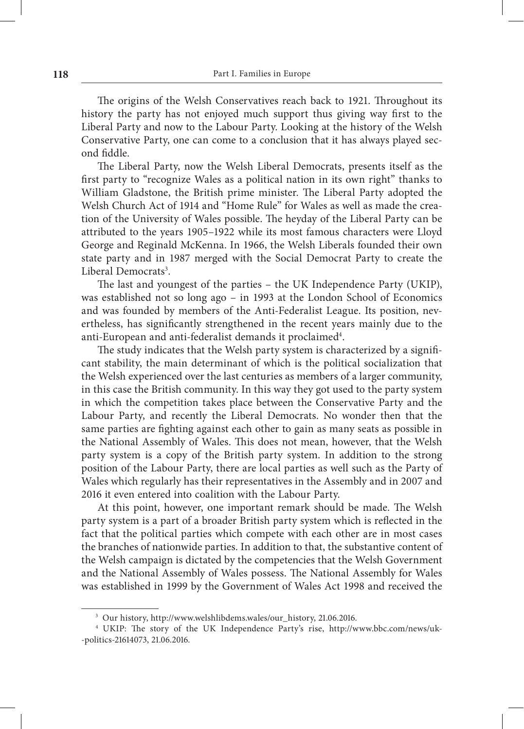The origins of the Welsh Conservatives reach back to 1921. Throughout its history the party has not enjoyed much support thus giving way first to the Liberal Party and now to the Labour Party. Looking at the history of the Welsh Conservative Party, one can come to a conclusion that it has always played second fiddle.

The Liberal Party, now the Welsh Liberal Democrats, presents itself as the first party to "recognize Wales as a political nation in its own right" thanks to William Gladstone, the British prime minister. The Liberal Party adopted the Welsh Church Act of 1914 and "Home Rule" for Wales as well as made the creation of the University of Wales possible. The heyday of the Liberal Party can be attributed to the years 1905–1922 while its most famous characters were Lloyd George and Reginald McKenna. In 1966, the Welsh Liberals founded their own state party and in 1987 merged with the Social Democrat Party to create the Liberal Democrats<sup>3</sup>.

The last and youngest of the parties – the UK Independence Party (UKIP), was established not so long ago – in 1993 at the London School of Economics and was founded by members of the Anti-Federalist League. Its position, nevertheless, has significantly strengthened in the recent years mainly due to the anti-European and anti-federalist demands it proclaimed<sup>4</sup>.

The study indicates that the Welsh party system is characterized by a significant stability, the main determinant of which is the political socialization that the Welsh experienced over the last centuries as members of a larger community, in this case the British community. In this way they got used to the party system in which the competition takes place between the Conservative Party and the Labour Party, and recently the Liberal Democrats. No wonder then that the same parties are fighting against each other to gain as many seats as possible in the National Assembly of Wales. This does not mean, however, that the Welsh party system is a copy of the British party system. In addition to the strong position of the Labour Party, there are local parties as well such as the Party of Wales which regularly has their representatives in the Assembly and in 2007 and 2016 it even entered into coalition with the Labour Party.

At this point, however, one important remark should be made. The Welsh party system is a part of a broader British party system which is reflected in the fact that the political parties which compete with each other are in most cases the branches of nationwide parties. In addition to that, the substantive content of the Welsh campaign is dictated by the competencies that the Welsh Government and the National Assembly of Wales possess. The National Assembly for Wales was established in 1999 by the Government of Wales Act 1998 and received the

<sup>3</sup> Our history, http://www.welshlibdems.wales/our\_history, 21.06.2016.

<sup>4</sup> UKIP: The story of the UK Independence Party's rise, http://www.bbc.com/news/uk‑ ‑politics‑21614073, 21.06.2016.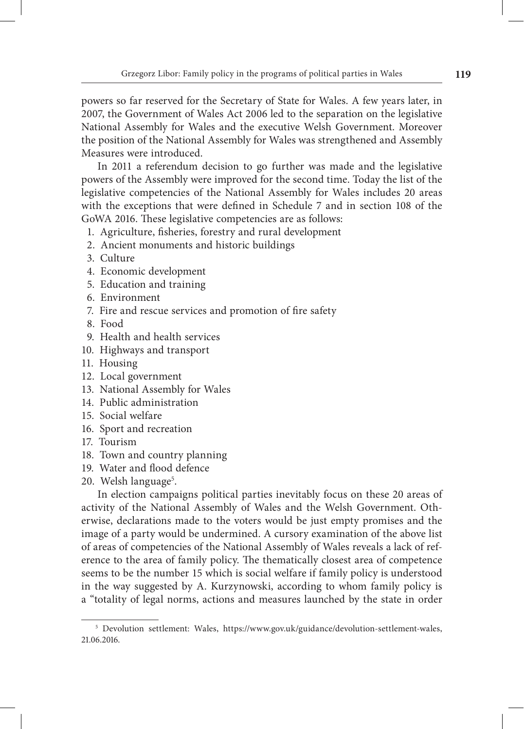powers so far reserved for the Secretary of State for Wales. A few years later, in 2007, the Government of Wales Act 2006 led to the separation on the legislative National Assembly for Wales and the executive Welsh Government. Moreover the position of the National Assembly for Wales was strengthened and Assembly Measures were introduced.

In 2011 a referendum decision to go further was made and the legislative powers of the Assembly were improved for the second time. Today the list of the legislative competencies of the National Assembly for Wales includes 20 areas with the exceptions that were defined in Schedule 7 and in section 108 of the GoWA 2016. These legislative competencies are as follows:

- 1. Agriculture, fisheries, forestry and rural development
- 2. Ancient monuments and historic buildings
- 3. Culture
- 4. Economic development
- 5. Education and training
- 6. Environment
- 7. Fire and rescue services and promotion of fire safety
- 8. Food
- 9. Health and health services
- 10. Highways and transport
- 11. Housing
- 12. Local government
- 13. National Assembly for Wales
- 14. Public administration
- 15. Social welfare
- 16. Sport and recreation
- 17. Tourism
- 18. Town and country planning
- 19. Water and flood defence
- 20. Welsh language<sup>5</sup>.

In election campaigns political parties inevitably focus on these 20 areas of activity of the National Assembly of Wales and the Welsh Government. Otherwise, declarations made to the voters would be just empty promises and the image of a party would be undermined. A cursory examination of the above list of areas of competencies of the National Assembly of Wales reveals a lack of reference to the area of family policy. The thematically closest area of competence seems to be the number 15 which is social welfare if family policy is understood in the way suggested by A. Kurzynowski, according to whom family policy is a "totality of legal norms, actions and measures launched by the state in order

<sup>&</sup>lt;sup>5</sup> Devolution settlement: Wales, https://www.gov.uk/guidance/devolution-settlement-wales, 21.06.2016.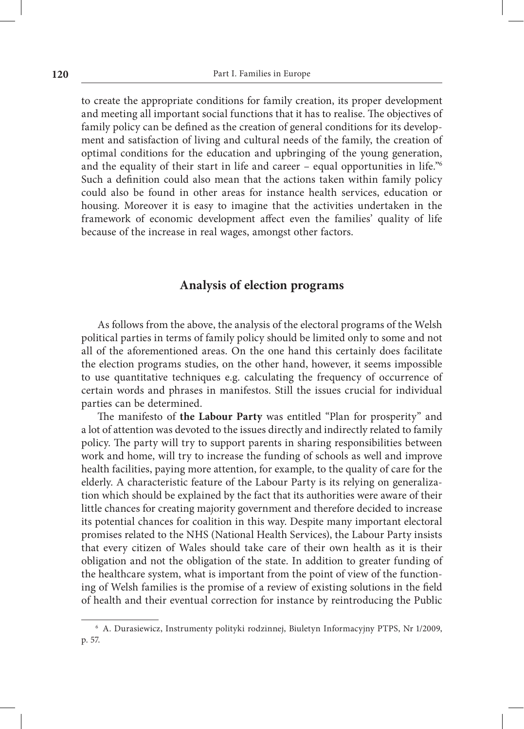to create the appropriate conditions for family creation, its proper development and meeting all important social functions that it has to realise. The objectives of family policy can be defined as the creation of general conditions for its development and satisfaction of living and cultural needs of the family, the creation of optimal conditions for the education and upbringing of the young generation, and the equality of their start in life and career – equal opportunities in life."6 Such a definition could also mean that the actions taken within family policy could also be found in other areas for instance health services, education or housing. Moreover it is easy to imagine that the activities undertaken in the framework of economic development affect even the families' quality of life because of the increase in real wages, amongst other factors.

### **Analysis of election programs**

As follows from the above, the analysis of the electoral programs of the Welsh political parties in terms of family policy should be limited only to some and not all of the aforementioned areas. On the one hand this certainly does facilitate the election programs studies, on the other hand, however, it seems impossible to use quantitative techniques e.g. calculating the frequency of occurrence of certain words and phrases in manifestos. Still the issues crucial for individual parties can be determined.

The manifesto of **the Labour Party** was entitled "Plan for prosperity" and a lot of attention was devoted to the issues directly and indirectly related to family policy. The party will try to support parents in sharing responsibilities between work and home, will try to increase the funding of schools as well and improve health facilities, paying more attention, for example, to the quality of care for the elderly. A characteristic feature of the Labour Party is its relying on generalization which should be explained by the fact that its authorities were aware of their little chances for creating majority government and therefore decided to increase its potential chances for coalition in this way. Despite many important electoral promises related to the NHS (National Health Services), the Labour Party insists that every citizen of Wales should take care of their own health as it is their obligation and not the obligation of the state. In addition to greater funding of the healthcare system, what is important from the point of view of the function‑ ing of Welsh families is the promise of a review of existing solutions in the field of health and their eventual correction for instance by reintroducing the Public

<sup>6</sup> A. Durasiewicz, Instrumenty polityki rodzinnej, Biuletyn Informacyjny PTPS, Nr 1/2009, p. 57.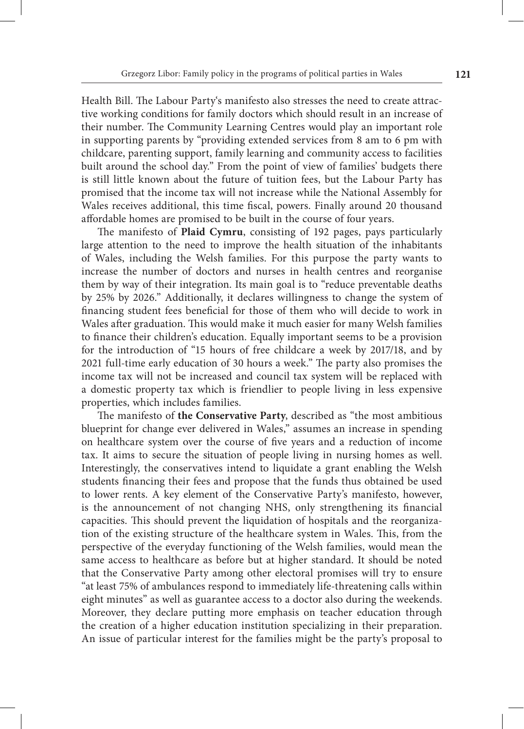Health Bill. The Labour Party's manifesto also stresses the need to create attractive working conditions for family doctors which should result in an increase of their number. The Community Learning Centres would play an important role in supporting parents by "providing extended services from 8 am to 6 pm with childcare, parenting support, family learning and community access to facilities built around the school day." From the point of view of families' budgets there is still little known about the future of tuition fees, but the Labour Party has promised that the income tax will not increase while the National Assembly for Wales receives additional, this time fiscal, powers. Finally around 20 thousand affordable homes are promised to be built in the course of four years.

The manifesto of **Plaid Cymru**, consisting of 192 pages, pays particularly large attention to the need to improve the health situation of the inhabitants of Wales, including the Welsh families. For this purpose the party wants to increase the number of doctors and nurses in health centres and reorganise them by way of their integration. Its main goal is to "reduce preventable deaths by 25% by 2026." Additionally, it declares willingness to change the system of financing student fees beneficial for those of them who will decide to work in Wales after graduation. This would make it much easier for many Welsh families to finance their children's education. Equally important seems to be a provision for the introduction of "15 hours of free childcare a week by 2017/18, and by 2021 full-time early education of 30 hours a week." The party also promises the income tax will not be increased and council tax system will be replaced with a domestic property tax which is friendlier to people living in less expensive properties, which includes families.

The manifesto of **the Conservative Party**, described as "the most ambitious blueprint for change ever delivered in Wales," assumes an increase in spending on healthcare system over the course of five years and a reduction of income tax. It aims to secure the situation of people living in nursing homes as well. Interestingly, the conservatives intend to liquidate a grant enabling the Welsh students financing their fees and propose that the funds thus obtained be used to lower rents. A key element of the Conservative Party's manifesto, however, is the announcement of not changing NHS, only strengthening its financial capacities. This should prevent the liquidation of hospitals and the reorganization of the existing structure of the healthcare system in Wales. This, from the perspective of the everyday functioning of the Welsh families, would mean the same access to healthcare as before but at higher standard. It should be noted that the Conservative Party among other electoral promises will try to ensure "at least 75% of ambulances respond to immediately life‑threatening calls within eight minutes" as well as guarantee access to a doctor also during the weekends. Moreover, they declare putting more emphasis on teacher education through the creation of a higher education institution specializing in their preparation. An issue of particular interest for the families might be the party's proposal to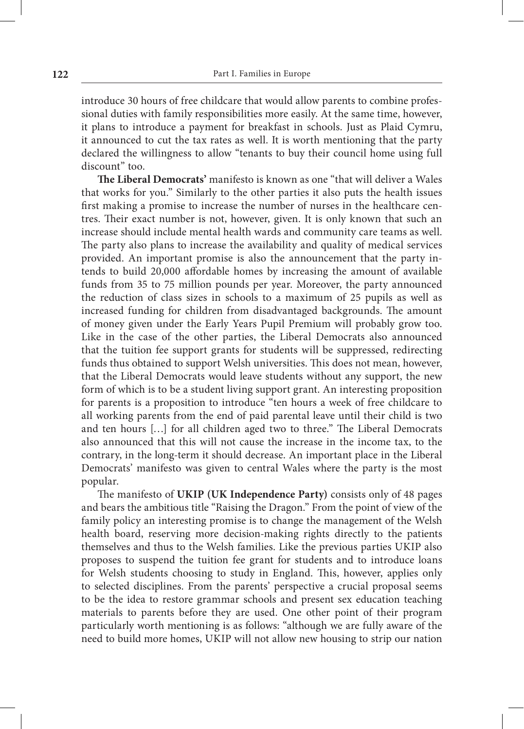introduce 30 hours of free childcare that would allow parents to combine professional duties with family responsibilities more easily. At the same time, however, it plans to introduce a payment for breakfast in schools. Just as Plaid Cymru, it announced to cut the tax rates as well. It is worth mentioning that the party declared the willingness to allow "tenants to buy their council home using full discount" too.

**The Liberal Democrats'** manifesto is known as one "that will deliver a Wales that works for you." Similarly to the other parties it also puts the health issues first making a promise to increase the number of nurses in the healthcare centres. Their exact number is not, however, given. It is only known that such an increase should include mental health wards and community care teams as well. The party also plans to increase the availability and quality of medical services provided. An important promise is also the announcement that the party intends to build 20,000 affordable homes by increasing the amount of available funds from 35 to 75 million pounds per year. Moreover, the party announced the reduction of class sizes in schools to a maximum of 25 pupils as well as increased funding for children from disadvantaged backgrounds. The amount of money given under the Early Years Pupil Premium will probably grow too. Like in the case of the other parties, the Liberal Democrats also announced that the tuition fee support grants for students will be suppressed, redirecting funds thus obtained to support Welsh universities. This does not mean, however, that the Liberal Democrats would leave students without any support, the new form of which is to be a student living support grant. An interesting proposition for parents is a proposition to introduce "ten hours a week of free childcare to all working parents from the end of paid parental leave until their child is two and ten hours […] for all children aged two to three." The Liberal Democrats also announced that this will not cause the increase in the income tax, to the contrary, in the long-term it should decrease. An important place in the Liberal Democrats' manifesto was given to central Wales where the party is the most popular.

The manifesto of **UKIP (UK Independence Party)** consists only of 48 pages and bears the ambitious title "Raising the Dragon." From the point of view of the family policy an interesting promise is to change the management of the Welsh health board, reserving more decision‑making rights directly to the patients themselves and thus to the Welsh families. Like the previous parties UKIP also proposes to suspend the tuition fee grant for students and to introduce loans for Welsh students choosing to study in England. This, however, applies only to selected disciplines. From the parents' perspective a crucial proposal seems to be the idea to restore grammar schools and present sex education teaching materials to parents before they are used. One other point of their program particularly worth mentioning is as follows: "although we are fully aware of the need to build more homes, UKIP will not allow new housing to strip our nation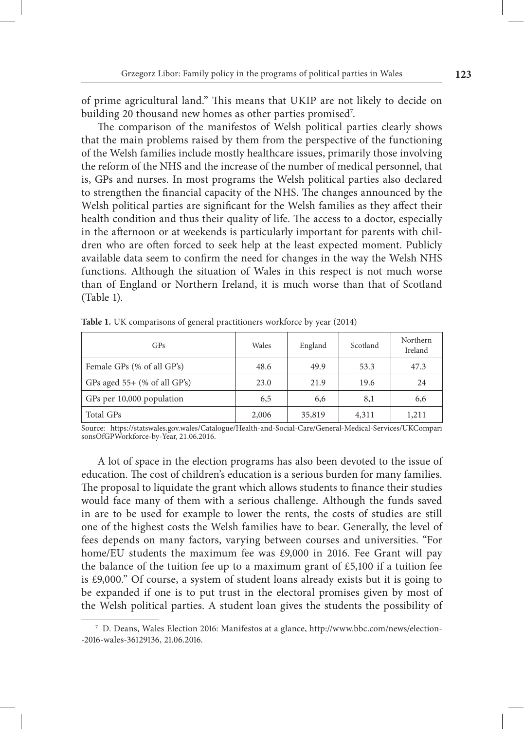of prime agricultural land." This means that UKIP are not likely to decide on building 20 thousand new homes as other parties promised7 .

The comparison of the manifestos of Welsh political parties clearly shows that the main problems raised by them from the perspective of the functioning of the Welsh families include mostly healthcare issues, primarily those involving the reform of the NHS and the increase of the number of medical personnel, that is, GPs and nurses. In most programs the Welsh political parties also declared to strengthen the financial capacity of the NHS. The changes announced by the Welsh political parties are significant for the Welsh families as they affect their health condition and thus their quality of life. The access to a doctor, especially in the afternoon or at weekends is particularly important for parents with chil– dren who are often forced to seek help at the least expected moment. Publicly available data seem to confirm the need for changes in the way the Welsh NHS functions. Although the situation of Wales in this respect is not much worse than of England or Northern Ireland, it is much worse than that of Scotland (Table 1).

| GPs                            | Wales | England | Scotland | Northern<br>Ireland |
|--------------------------------|-------|---------|----------|---------------------|
| Female GPs (% of all GP's)     | 48.6  | 49.9    | 53.3     | 47.3                |
| GPs aged $55+$ (% of all GP's) | 23.0  | 21.9    | 19.6     | 24                  |
| GPs per 10,000 population      | 6,5   | 6,6     | 8,1      | 6,6                 |
| Total GPs                      | 2,006 | 35,819  | 4,311    | 1,211               |

**Table 1.** UK comparisons of general practitioners workforce by year (2014)

Source: https://statswales.gov.wales/Catalogue/Health‑and‑Social‑Care/General‑Medical‑Services/UKCompari sonsOfGPWorkforce‑by‑Year, 21.06.2016.

A lot of space in the election programs has also been devoted to the issue of education. The cost of children's education is a serious burden for many families. The proposal to liquidate the grant which allows students to finance their studies would face many of them with a serious challenge. Although the funds saved in are to be used for example to lower the rents, the costs of studies are still one of the highest costs the Welsh families have to bear. Generally, the level of fees depends on many factors, varying between courses and universities. "For home/EU students the maximum fee was £9,000 in 2016. Fee Grant will pay the balance of the tuition fee up to a maximum grant of  $£5,100$  if a tuition fee is £9,000." Of course, a system of student loans already exists but it is going to be expanded if one is to put trust in the electoral promises given by most of the Welsh political parties. A student loan gives the students the possibility of

<sup>7</sup> D. Deans, Wales Election 2016: Manifestos at a glance, http://www.bbc.com/news/election‑ ‑2016‑wales‑36129136, 21.06.2016.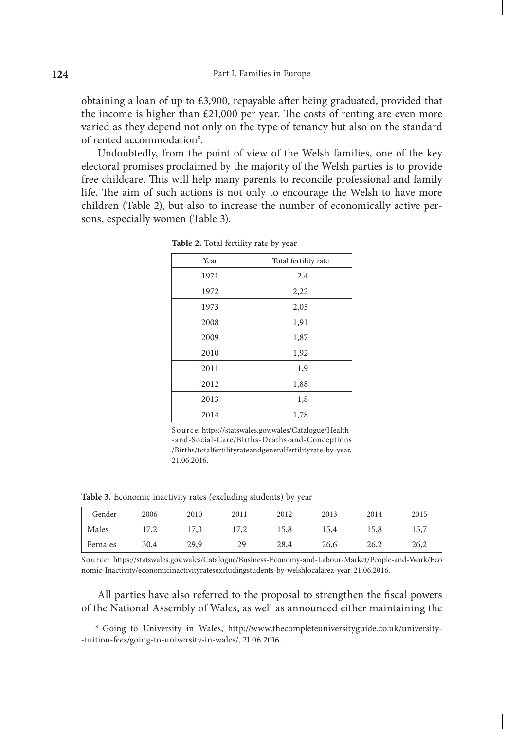obtaining a loan of up to £3,900, repayable after being graduated, provided that the income is higher than £21,000 per year. The costs of renting are even more varied as they depend not only on the type of tenancy but also on the standard of rented accommodation<sup>8</sup>.

Undoubtedly, from the point of view of the Welsh families, one of the key electoral promises proclaimed by the majority of the Welsh parties is to provide free childcare. This will help many parents to reconcile professional and family life. The aim of such actions is not only to encourage the Welsh to have more children (Table 2), but also to increase the number of economically active per‑ sons, especially women (Table 3).

| Year | Total fertility rate |
|------|----------------------|
| 1971 | 2,4                  |
| 1972 | 2,22                 |
| 1973 | 2,05                 |
| 2008 | 1,91                 |
| 2009 | 1,87                 |
| 2010 | 1,92                 |
| 2011 | 1,9                  |
| 2012 | 1,88                 |
| 2013 | 1,8                  |
| 2014 | 1,78                 |

**Table 2.** Total fertility rate by year

S ource: https://statswales.gov.wales/Catalogue/Health‑ ‑and‑Social‑Care/Births‑Deaths‑and‑Conceptions /Births/totalfertilityrateandgeneralfertilityrate‑by‑year, 21.06.2016.

**Table 3.** Economic inactivity rates (excluding students) by year

| Gender  | 2006 | 2010 | 2011                            | 2012 | 2013 | 2014 | 2015 |
|---------|------|------|---------------------------------|------|------|------|------|
| Males   | 17,2 | 17,3 | 17 <sup>o</sup><br>$1/\sqrt{2}$ | 15,8 | 15,4 | 15,8 | 15,7 |
| Females | 30,4 | 29,9 | 29                              | 28,4 | 26,6 | 26,2 | 26,2 |

S ource: https://statswales.gov.wales/Catalogue/Business‑Economy‑and‑Labour‑Market/People‑and‑Work/Eco nomic‑Inactivity/economicinactivityratesexcludingstudents‑by‑welshlocalarea‑year, 21.06.2016.

All parties have also referred to the proposal to strengthen the fiscal powers of the National Assembly of Wales, as well as announced either maintaining the

<sup>&</sup>lt;sup>8</sup> Going to University in Wales, http://www.thecompleteuniversityguide.co.uk/university-‑tuition‑fees/going‑to‑university‑in‑wales/, 21.06.2016.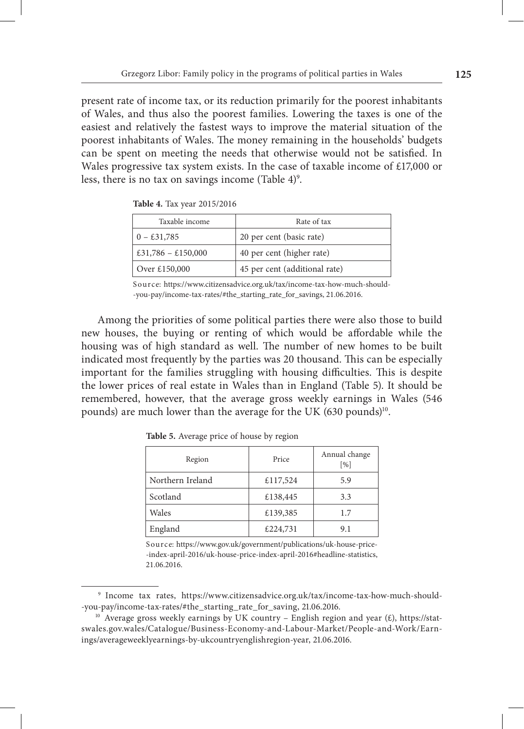present rate of income tax, or its reduction primarily for the poorest inhabitants of Wales, and thus also the poorest families. Lowering the taxes is one of the easiest and relatively the fastest ways to improve the material situation of the poorest inhabitants of Wales. The money remaining in the households' budgets can be spent on meeting the needs that otherwise would not be satisfied. In Wales progressive tax system exists. In the case of taxable income of £17,000 or less, there is no tax on savings income (Table 4) $^{\circ}$ .

| Taxable income      | Rate of tax                   |
|---------------------|-------------------------------|
| $0 - \pounds31,785$ | 20 per cent (basic rate)      |
| £31,786 - £150,000  | 40 per cent (higher rate)     |
| Over £150,000       | 45 per cent (additional rate) |

**Table 4.** Tax year 2015/2016

Source: https://www.citizensadvice.org.uk/tax/income-tax-how-much-should-‑you‑pay/income‑tax‑rates/#the\_starting\_rate\_for\_savings, 21.06.2016.

Among the priorities of some political parties there were also those to build new houses, the buying or renting of which would be affordable while the housing was of high standard as well. The number of new homes to be built indicated most frequently by the parties was 20 thousand. This can be especially important for the families struggling with housing difficulties. This is despite the lower prices of real estate in Wales than in England (Table 5). It should be remembered, however, that the average gross weekly earnings in Wales (546 pounds) are much lower than the average for the UK (630 pounds)<sup>10</sup>.

| Region           | Price    | Annual change<br>$\lceil \frac{9}{6} \rceil$ |
|------------------|----------|----------------------------------------------|
| Northern Ireland | £117,524 | 5.9                                          |
| Scotland         | £138,445 | 3.3                                          |
| Wales            | £139,385 | 1.7                                          |
| England          | £224,731 | 9.1                                          |

**Table 5.** Average price of house by region

Source: https://www.gov.uk/government/publications/uk-house-price-‑index‑april‑2016/uk‑house‑price‑index‑april‑2016#headline‑statistics, 21.06.2016.

<sup>&</sup>lt;sup>9</sup> Income tax rates, https://www.citizensadvice.org.uk/tax/income-tax-how-much-should-‑you‑pay/income‑tax‑rates/#the\_starting\_rate\_for\_saving, 21.06.2016.

<sup>&</sup>lt;sup>10</sup> Average gross weekly earnings by UK country – English region and year (£), https://statswales.gov.wales/Catalogue/Business‑Economy‑and‑Labour‑Market/People‑and‑Work/Earn‑ ings/averageweeklyearnings‑by‑ukcountryenglishregion‑year, 21.06.2016.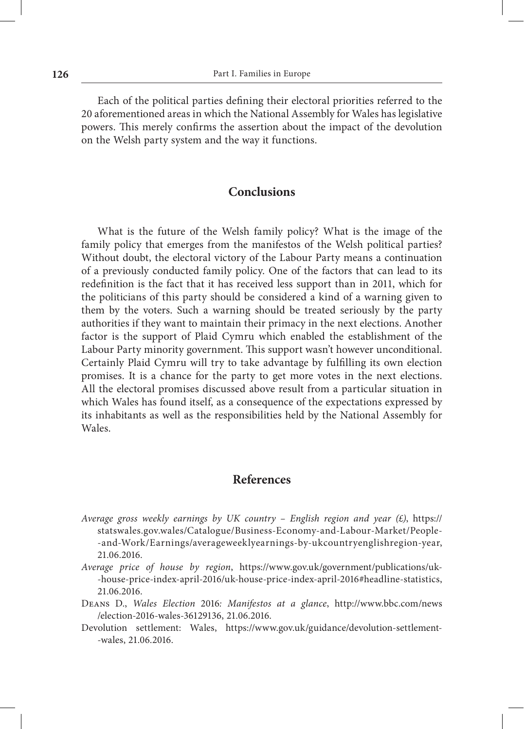Each of the political parties defining their electoral priorities referred to the 20 aforementioned areas in which the National Assembly for Wales has legislative powers. This merely confirms the assertion about the impact of the devolution on the Welsh party system and the way it functions.

## **Conclusions**

What is the future of the Welsh family policy? What is the image of the family policy that emerges from the manifestos of the Welsh political parties? Without doubt, the electoral victory of the Labour Party means a continuation of a previously conducted family policy. One of the factors that can lead to its redefinition is the fact that it has received less support than in 2011, which for the politicians of this party should be considered a kind of a warning given to them by the voters. Such a warning should be treated seriously by the party authorities if they want to maintain their primacy in the next elections. Another factor is the support of Plaid Cymru which enabled the establishment of the Labour Party minority government. This support wasn't however unconditional. Certainly Plaid Cymru will try to take advantage by fulfilling its own election promises. It is a chance for the party to get more votes in the next elections. All the electoral promises discussed above result from a particular situation in which Wales has found itself, as a consequence of the expectations expressed by its inhabitants as well as the responsibilities held by the National Assembly for Wales.

#### **References**

- *Average gross weekly earnings by UK country English region and year (£)*, https:// statswales.gov.wales/Catalogue/Business-Economy-and-Labour-Market/People-‑and‑Work/Earnings/averageweeklyearnings‑by‑ukcountryenglishregion‑year, 21.06.2016.
- *Average price of house by region*, https://www.gov.uk/government/publications/uk‑ ‑house‑price‑index‑april‑2016/uk‑house‑price‑index‑april‑2016#headline‑statistics, 21.06.2016.
- Deans D., *Wales Election* 2016*: Manifestos at a glance*, http://www.bbc.com/news /election‑2016‑wales‑36129136, 21.06.2016.
- Devolution settlement: Wales, https://www.gov.uk/guidance/devolution-settlement-‑wales, 21.06.2016.